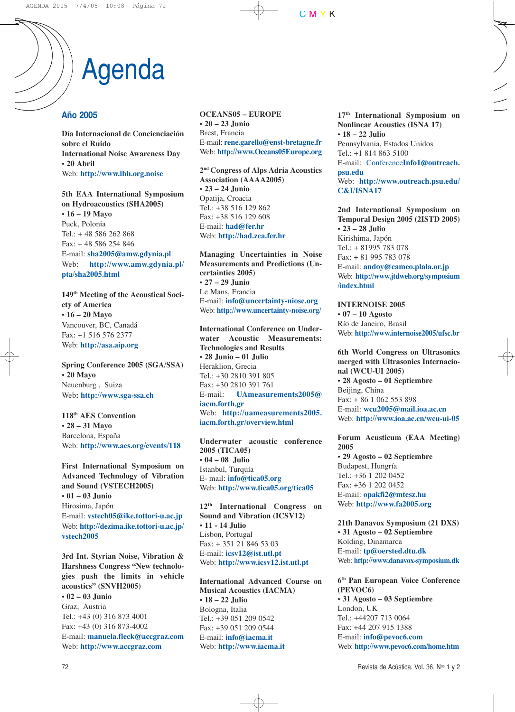# Agenda

### **Año 2005**

**Día Internacional de Concienciación sobre el Ruido International Noise Awareness Day • 20 Abril** Web: **http://www.lhh.org.noise**

**5th EAA International Symposium on Hydroacoustics (SHA2005) • 16 – 19 Mayo** Puck, Polonia Tel.: + 48 586 262 868 Fax: + 48 586 254 846 E-mail: **sha2005@amw.gdynia.pl** Web: **http://www.amw.gdynia.pl/ pta/sha2005.html**

**149th Meeting of the Acoustical Society of America • 16 – 20 Mayo** Vancouver, BC, Canadá Fax: +1 516 576 2377 Web: **http://asa.aip.org**

**Spring Conference 2005 (SGA/SSA) • 20 Mayo** Neuenburg , Suiza Web**: http://www.sga-ssa.ch**

**118th AES Convention • 28 – 31 Mayo** Barcelona, España Web: **http://www.aes.org/events/118**

**First International Symposium on Advanced Technology of Vibration and Sound (VSTECH2005) • 01 – 03 Junio** Hirosima, Japón E-mail: **vstech05@ike.tottori-u.ac.jp** Web: **http://dezima.ike.tottori-u.ac.jp/ vstech2005**

**3rd Int. Styrian Noise, Vibration & Harshness Congress "New technologies push the limits in vehicle acoustics" (SNVH2005) • 02 – 03 Junio** Graz, Austria

Tel.: +43 (0) 316 873 4001 Fax: +43 (0) 316 873-4002 E-mail: **manuela.fleck@accgraz.com** Web: **http://www.accgraz.com**

**OCEANS05 – EUROPE • 20 – 23 Junio** Brest, Francia E-mail: **rene.garello@enst-bretagne.fr** Web: **http://www.Oceans05Europe.org**

**2nd Congress of Alps Adria Acoustics Association (AAAA2005) • 23 – 24 Junio** Opatija, Croacia Tel.: +38 516 129 862 Fax: +38 516 129 608 E-mail: **had@fer.hr** Web: **http://had.zea.fer.hr**

**Managing Uncertainties in Noise Measurements and Predictions (Uncertainties 2005) • 27 – 29 Junio** Le Mans, Francia E-mail: **info@uncertainty-niose.org** Web: **http://www.uncertainty-noise.org/**

**International Conference on Underwater Acoustic Measurements: Technologies and Results • 28 Junio – 01 Julio** Heraklion, Grecia Tel.: +30 2810 391 805 Fax: +30 2810 391 761 E-mail: **UAmeasurements2005@ iacm.forth.gr** Web: **http://uameasurements2005. iacm.forth.gr/overview.html**

**Underwater acoustic conference 2005 (TICA05) • 04 – 08 Julio** Istanbul, Turquía E- mail: **info@tica05.org** Web: **http://www.tica05.org/tica05**

**12th International Congress on Sound and Vibration (ICSV12) • 11 - 14 Julio** Lisbon, Portugal Fax: + 351 21 846 53 03 E-mail: **icsv12@ist.utl.pt** Web: **http://www.icsv12.ist.utl.pt**

**International Advanced Course on Musical Acoustics (IACMA) • 18 – 22 Julio** Bologna, Italia Tel.: +39 051 209 0542 Fax: +39 051 209 0544 E-mail: **info@iacma.it** Web: **http://www.iacma.it**

**17th International Symposium on Nonlinear Acoustics (ISNA 17) • 18 – 22 Julio** Pennsylvania, Estados Unidos Tel.: +1 814 863 5100 E-mail: Conference**Info1@outreach. psu.edu** Web: **http://www.outreach.psu.edu/ C&I/ISNA17**

**2nd International Symposium on Temporal Design 2005 (2ISTD 2005) • 23 – 28 Julio** Kirishima, Japón Tel.: + 81995 783 078 Fax: + 81 995 783 078 E-mail: **andoy@cameo.plala.or.jp** Web: **http://www.jtdweb.org/symposium /index.html**

**INTERNOISE 2005 • 07 – 10 Agosto** Río de Janeiro, Brasil Web: **http://www.internoise2005/ufsc.br**

**6th World Congress on Ultrasonics merged with Ultrasonics Internacional (WCU-UI 2005) • 28 Agosto – 01 Septiembre** Beijing, China Fax: + 86 1 062 553 898 E-mail: **wcu2005@mail.ioa.ac.cn** Web: **http://www.ioa.ac.cn/wcu-ui-05**

**Forum Acusticum (EAA Meeting) 2005 • 29 Agosto – 02 Septiembre**

Budapest, Hungría Tel.: +36 1 202 0452 Fax: +36 1 202 0452 E-mail: **opakfi2@mtesz.hu** Web: **http://www.fa2005.org**

**21th Danavox Symposium (21 DXS) • 31 Agosto – 02 Septiembre** Kolding, Dinamarca E-mail: **tp@oersted.dtu.dk** Web: **http://www.danavox-symposium.dk**

**6th Pan European Voice Conference (PEVOC6) • 31 Agosto – 03 Septiembre** London, UK Tel.: +44207 713 0064 Fax: +44 207 915 1388 E-mail: **info@pevoc6.com** Web: **http://www.pevoc6.com/home.htm**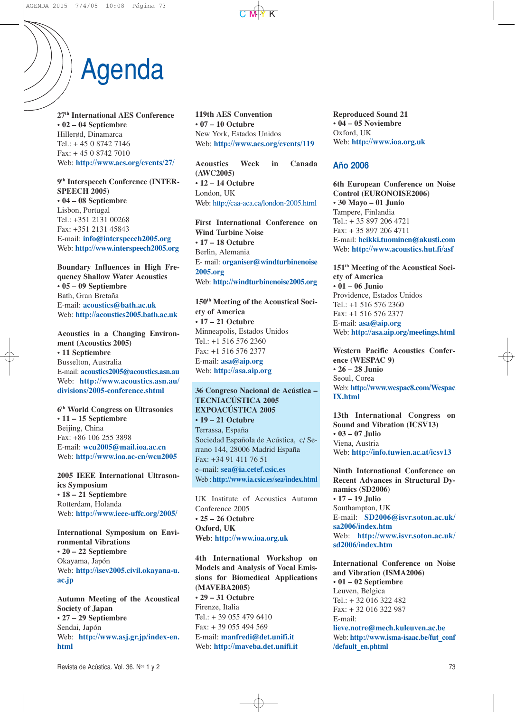# Agenda

**27th International AES Conference • 02 – 04 Septiembre** Hillerød, Dinamarca Tel.: + 45 0 8742 7146 Fax: + 45 0 8742 7010 Web: **http://www.aes.org/events/27/**

**9th Interspeech Conference (INTER-SPEECH 2005) • 04 – 08 Septiembre** Lisbon, Portugal Tel.: +351 2131 00268 Fax: +351 2131 45843 E-mail: **info@interspeech2005.org** Web: **http://www.interspeech2005.org**

**Boundary Influences in High Frequency Shallow Water Acoustics • 05 – 09 Septiembre** Bath, Gran Bretaña E-mail: **acoustics@bath.ac.uk** Web: **http://acoustics2005.bath.ac.uk**

**Acoustics in a Changing Environment (Acoustics 2005) • 11 Septiembre** Busselton, Australia E-mail: **acoustics2005@acoustics.asn.au** Web: **http://www.acoustics.asn.au/ divisions/2005-conference.shtml**

**6th World Congress on Ultrasonics • 11 – 15 Septiembre** Beijing, China Fax: +86 106 255 3898 E-mail: **wcu2005@mail.ioa.ac.cn** Web: **http://www.ioa.ac-cn/wcu2005**

**2005 IEEE International Ultrasonics Symposium • 18 – 21 Septiembre** Rotterdam, Holanda Web: **http://www.ieee-uffc.org/2005/**

**International Symposium on Environmental Vibrations • 20 – 22 Septiembre** Okayama, Japón Web: **http://isev2005.civil.okayana-u. ac.jp**

**Autumn Meeting of the Acoustical Society of Japan • 27 – 29 Septiembre** Sendai, Japón Web: **http://www.asj.gr.jp/index-en. html**

**119th AES Convention • 07 – 10 Octubre** New York, Estados Unidos Web: **http://www.aes.org/events/119**

**Acoustics Week in Canada (AWC2005) • 12 – 14 Octubre** London, UK Web: http://caa-aca.ca/london-2005.html

**First International Conference on Wind Turbine Noise • 17 – 18 Octubre** Berlin, Alemania E- mail: **organiser@windturbinenoise 2005.org** Web: **http://windturbinenoise2005.org**

**150th Meeting of the Acoustical Society of America • 17 – 21 Octubre** Minneapolis, Estados Unidos Tel.: +1 516 576 2360 Fax: +1 516 576 2377 E-mail: **asa@aip.org** Web: **http://asa.aip.org**

#### **36 Congreso Nacional de Acústica – TECNIACÚSTICA 2005 EXPOACÚSTICA 2005 • 19 – 21 Octubre**

Terrassa, España Sociedad Española de Acústica, c/ Serrano 144, 28006 Madrid España Fax: +34 91 411 76 51 e–mail: **sea@ia.cetef.csic.es** Web : **http://www.ia.csic.es/sea/index.html**

UK Institute of Acoustics Autumn Conference 2005 **• 25 – 26 Octubre Oxford, UK Web**: **http://www.ioa.org.uk**

**4th International Workshop on Models and Analysis of Vocal Emissions for Biomedical Applications (MAVEBA2005) • 29 – 31 Octubre** Firenze, Italia Tel.: + 39 055 479 6410 Fax: + 39 055 494 569 E-mail: **manfredi@det.unifi.it** Web: **http://maveba.det.unifi.it**

**Reproduced Sound 21 • 04 – 05 Noviembre** Oxford, UK Web: **http://www.ioa.org.uk**

#### **Año 2006**

**6th European Conference on Noise Control (EURONOISE2006) • 30 Mayo – 01 Junio** Tampere, Finlandia Tel.: + 35 897 206 4721 Fax: + 35 897 206 4711 E-mail: **heikki.tuominen@akusti.com** Web: **http://www.acoustics.hut.fi/asf**

**151th Meeting of the Acoustical Society of America • 01 – 06 Junio** Providence, Estados Unidos Tel.: +1 516 576 2360 Fax: +1 516 576 2377 E-mail: **asa@aip.org** Web: **http://asa.aip.org/meetings.html**

**Western Pacific Acoustics Conference (WESPAC 9) • 26 – 28 Junio** Seoul, Corea Web: **http://www.wespac8.com/Wespac IX.html**

**13th International Congress on Sound and Vibration (ICSV13) • 03 – 07 Julio** Viena, Austria Web: **http://info.tuwien.ac.at/icsv13**

**Ninth International Conference on Recent Advances in Structural Dynamics (SD2006) • 17 – 19 Julio** Southampton, UK E-mail: **SD2006@isvr.soton.ac.uk/ sa2006/index.htm** Web: **http://www.isvr.soton.ac.uk/ sd2006/index.htm**

**International Conference on Noise and Vibration (ISMA2006) • 01 – 02 Septiembre** Leuven, Belgica Tel.: + 32 016 322 482 Fax: + 32 016 322 987 E-mail: **lieve.notre@mech.kuleuven.ac.be** Web: **http://www.isma-isaac.be/fut\_conf /default\_en.phtml**